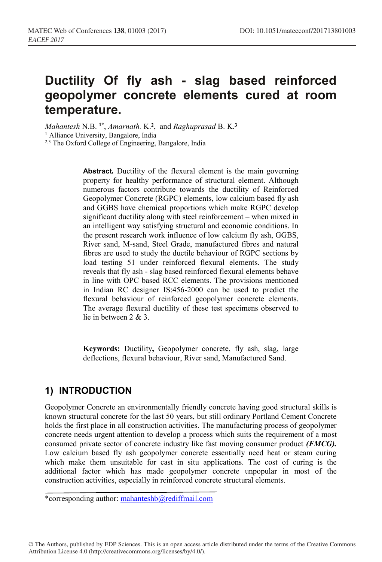# **Ductility Of fly ash - slag based reinforced geopolymer concrete elements cured at room temperature.**

*Mahantesh* N.B. **1\***, *Amarnath.* K.**<sup>2</sup>**, and *Raghuprasad* B. K.**<sup>3</sup>** <sup>1</sup> Alliance University, Bangalore, India <sup>2,3</sup> The Oxford College of Engineering, Bangalore, India

> **Abstract***.* Ductility of the flexural element is the main governing property for healthy performance of structural element. Although numerous factors contribute towards the ductility of Reinforced Geopolymer Concrete (RGPC) elements, low calcium based fly ash and GGBS have chemical proportions which make RGPC develop significant ductility along with steel reinforcement – when mixed in an intelligent way satisfying structural and economic conditions. In the present research work influence of low calcium fly ash, GGBS, River sand, M-sand, Steel Grade, manufactured fibres and natural fibres are used to study the ductile behaviour of RGPC sections by load testing 51 under reinforced flexural elements. The study reveals that fly ash - slag based reinforced flexural elements behave in line with OPC based RCC elements. The provisions mentioned in Indian RC designer IS:456-2000 can be used to predict the flexural behaviour of reinforced geopolymer concrete elements. The average flexural ductility of these test specimens observed to lie in between 2 & 3.

> **Keywords:** Ductility**,** Geopolymer concrete, fly ash, slag, large deflections, flexural behaviour, River sand, Manufactured Sand.

## **1) INTRODUCTION**

Geopolymer Concrete an environmentally friendly concrete having good structural skills is known structural concrete for the last 50 years, but still ordinary Portland Cement Concrete holds the first place in all construction activities. The manufacturing process of geopolymer concrete needs urgent attention to develop a process which suits the requirement of a most consumed private sector of concrete industry like fast moving consumer product *(FMCG).* Low calcium based fly ash geopolymer concrete essentially need heat or steam curing which make them unsuitable for cast in situ applications. The cost of curing is the additional factor which has made geopolymer concrete unpopular in most of the construction activities, especially in reinforced concrete structural elements.

\*corresponding author: mahanteshb@rediffmail.com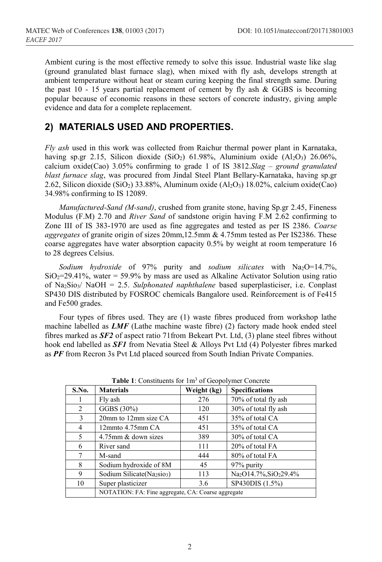Ambient curing is the most effective remedy to solve this issue. Industrial waste like slag (ground granulated blast furnace slag), when mixed with fly ash, develops strength at ambient temperature without heat or steam curing keeping the final strength same. During the past  $10 - 15$  years partial replacement of cement by fly ash & GGBS is becoming popular because of economic reasons in these sectors of concrete industry, giving ample evidence and data for a complete replacement.

#### **2) MATERIALS USED AND PROPERTIES.**

*Fly ash* used in this work was collected from Raichur thermal power plant in Karnataka, having sp.gr 2.15, Silicon dioxide (SiO<sub>2</sub>) 61.98%, Aluminium oxide (Al<sub>2</sub>O<sub>3</sub>) 26.06%, calcium oxide(Cao) 3.05% confirming to grade 1 of IS 3812.*Slag* – *ground granulated blast furnace slag*, was procured from Jindal Steel Plant Bellary-Karnataka, having sp.gr 2.62, Silicon dioxide (SiO<sub>2</sub>) 33.88%, Aluminum oxide (Al<sub>2</sub>O<sub>3</sub>) 18.02%, calcium oxide(Cao) 34.98% confirming to IS 12089.

*Manufactured-Sand (M-sand)*, crushed from granite stone, having Sp.gr 2.45, Fineness Modulus (F.M) 2.70 and *River Sand* of sandstone origin having F.M 2.62 confirming to Zone III of IS 383-1970 are used as fine aggregates and tested as per IS 2386. *Coarse aggregates* of granite origin of sizes 20mm,12.5mm & 4.75mm tested as Per IS2386. These coarse aggregates have water absorption capacity 0.5% by weight at room temperature 16 to 28 degrees Celsius.

*Sodium hydroxide* of 97% purity and *sodium silicates* with Na2O=14.7%,  $SiO<sub>2</sub>=29.41\%$ , water = 59.9% by mass are used as Alkaline Activator Solution using ratio of Na2Sio3/ NaOH = 2.5. *Sulphonated naphthalene* based superplasticiser, i.e. Conplast SP430 DIS distributed by FOSROC chemicals Bangalore used. Reinforcement is of Fe415 and Fe500 grades.

Four types of fibres used. They are (1) waste fibres produced from workshop lathe machine labelled as *LMF* (Lathe machine waste fibre) (2) factory made hook ended steel fibres marked as *SF2* of aspect ratio 71from Bekeart Pvt. Ltd, (3) plane steel fibres without hook end labelled as *SF1* from Nevatia Steel & Alloys Pvt Ltd (4) Polyester fibres marked as *PF* from Recron 3s Pvt Ltd placed sourced from South Indian Private Companies.

| S.No. | <b>Materials</b>                                   | Weight (kg) | <b>Specifications</b>                          |  |  |  |  |  |
|-------|----------------------------------------------------|-------------|------------------------------------------------|--|--|--|--|--|
|       | Fly ash                                            | 276         | 70% of total fly ash                           |  |  |  |  |  |
| 2     | GGBS(30%)                                          | 120         | 30% of total fly ash                           |  |  |  |  |  |
| 3     | 20mm to 12mm size CA                               | 451         | 35% of total CA                                |  |  |  |  |  |
| 4     | $12$ mmto $4.75$ mm CA                             | 451         | 35% of total CA                                |  |  |  |  |  |
| 5     | 4.75mm & down sizes                                | 389         | 30% of total CA                                |  |  |  |  |  |
| 6     | River sand                                         | 111         | 20% of total FA                                |  |  |  |  |  |
| 7     | M-sand                                             | 444         | 80% of total FA                                |  |  |  |  |  |
| 8     | Sodium hydroxide of 8M                             | 45          | 97% purity                                     |  |  |  |  |  |
| 9     | Sodium Silicate (Na <sub>2SiO3</sub> )             | 113         | Na <sub>2</sub> O14.7%, SiO <sub>2</sub> 29.4% |  |  |  |  |  |
| 10    | Super plasticizer                                  | 3.6         | SP430DIS (1.5%)                                |  |  |  |  |  |
|       | NOTATION: FA: Fine aggregate, CA: Coarse aggregate |             |                                                |  |  |  |  |  |

**Table 1**: Constituents for 1m3 of Geopolymer Concrete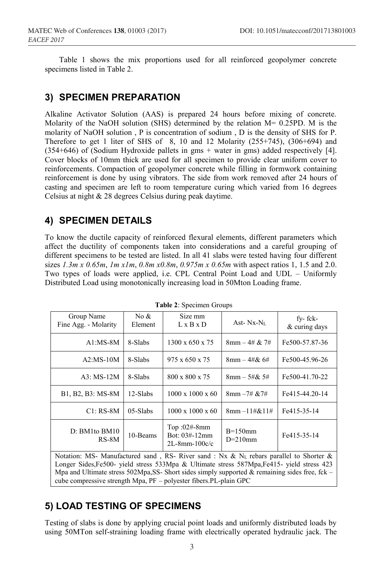Table 1 shows the mix proportions used for all reinforced geopolymer concrete specimens listed in Table 2.

## **3) SPECIMEN PREPARATION**

Alkaline Activator Solution (AAS) is prepared 24 hours before mixing of concrete. Molarity of the NaOH solution (SHS) determined by the relation M= 0.25PD. M is the molarity of NaOH solution , P is concentration of sodium , D is the density of SHS for P. Therefore to get 1 liter of SHS of 8, 10 and 12 Molarity  $(255+745)$ ,  $(306+694)$  and (354+646) of (Sodium Hydroxide pallets in gms + water in gms) added respectively [4]. Cover blocks of 10mm thick are used for all specimen to provide clear uniform cover to reinforcements. Compaction of geopolymer concrete while filling in formwork containing reinforcement is done by using vibrators. The side from work removed after 24 hours of casting and specimen are left to room temperature curing which varied from 16 degrees Celsius at night & 28 degrees Celsius during peak daytime.

## **4) SPECIMEN DETAILS**

To know the ductile capacity of reinforced flexural elements, different parameters which affect the ductility of components taken into considerations and a careful grouping of different specimens to be tested are listed. In all 41 slabs were tested having four different sizes *1.3m x 0.65m*, *1m x1m*, *0.8m x0.8m*, *0.975m x 0.65m* with aspect ratios 1, 1.5 and 2.0. Two types of loads were applied, i.e. CPL Central Point Load and UDL – Uniformly Distributed Load using monotonically increasing load in 50Mton Loading frame.

| Group Name<br>Fine Agg. - Molarity                                                                                                                                                                                                                                                                                                                                      | No &<br>Element | Size mm<br>$L \times B \times D$                        | Ast- $Nx-NL$                 | fy-fck-<br>& curing days |  |  |  |
|-------------------------------------------------------------------------------------------------------------------------------------------------------------------------------------------------------------------------------------------------------------------------------------------------------------------------------------------------------------------------|-----------------|---------------------------------------------------------|------------------------------|--------------------------|--|--|--|
| $A1:MS-8M$                                                                                                                                                                                                                                                                                                                                                              | 8-Slabs         | 1300 x 650 x 75                                         | $8 \text{mm} - 4 \# \& 7 \#$ | Fe500-57.87-36           |  |  |  |
| $A2:MS-10M$                                                                                                                                                                                                                                                                                                                                                             | 8-Slabs         | 975 x 650 x 75                                          | $8 \text{mm} - 4 \# \& 6 \#$ | Fe500-45.96-26           |  |  |  |
| A3: MS-12M                                                                                                                                                                                                                                                                                                                                                              | 8-Slabs         | 800 x 800 x 75<br>$8 \text{mm} - 5 \# \& 5 \#$          |                              | Fe500-41.70-22           |  |  |  |
| B1, B2, B3: MS-8M                                                                                                                                                                                                                                                                                                                                                       | 12-Slabs        | $1000 \times 1000 \times 60$                            | $8 \text{mm} -7 \# \& 7 \#$  | Fe415-44.20-14           |  |  |  |
| $C1:RS-8M$<br>$05-S$ labs                                                                                                                                                                                                                                                                                                                                               |                 | $1000 \times 1000 \times 60$                            | $8mm - 11\#2611\#$           | Fe415-35-14              |  |  |  |
| $D: BM1$ to $BM10$<br>$RS-8M$                                                                                                                                                                                                                                                                                                                                           | 10-Beams        | Top: $02#$ -8mm<br>Bot: 03#-12mm<br>$2L-8$ mm $-100c/c$ | $B=150$ mm<br>$D=210$ mm     |                          |  |  |  |
| Notation: MS- Manufactured sand, RS- River sand: Nx & N <sub>L</sub> rebars parallel to Shorter &<br>Longer Sides, Fe500- yield stress 533Mpa & Ultimate stress 587Mpa, Fe415- yield stress 423<br>Mpa and Ultimate stress 502Mpa, SS- Short sides simply supported & remaining sides free, fck –<br>cube compressive strength Mpa, PF – polyester fibers. PL-plain GPC |                 |                                                         |                              |                          |  |  |  |

**Table 2**: Specimen Groups

## **5) LOAD TESTING OF SPECIMENS**

Testing of slabs is done by applying crucial point loads and uniformly distributed loads by using 50MTon self-straining loading frame with electrically operated hydraulic jack. The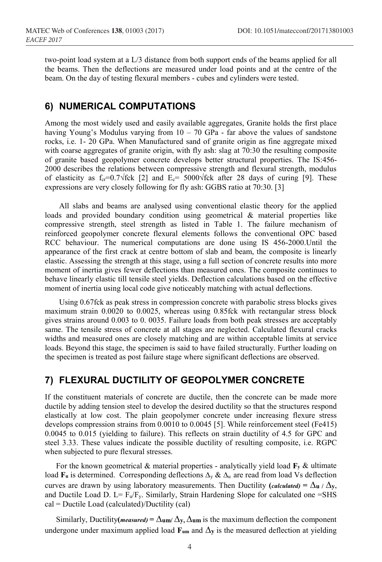two-point load system at a L/3 distance from both support ends of the beams applied for all the beams. Then the deflections are measured under load points and at the centre of the beam. On the day of testing flexural members - cubes and cylinders were tested.

#### **6) NUMERICAL COMPUTATIONS**

Among the most widely used and easily available aggregates, Granite holds the first place having Young's Modulus varying from  $10 - 70$  GPa - far above the values of sandstone rocks, i.e. 1- 20 GPa. When Manufactured sand of granite origin as fine aggregate mixed with coarse aggregates of granite origin, with fly ash: slag at 70:30 the resulting composite of granite based geopolymer concrete develops better structural properties. The IS:456- 2000 describes the relations between compressive strength and flexural strength, modulus of elasticity as  $f_{cr}$ =0.7√fck [2] and  $E_c$ = 5000√fck after 28 days of curing [9]. These expressions are very closely following for fly ash: GGBS ratio at 70:30. [3]

All slabs and beams are analysed using conventional elastic theory for the applied loads and provided boundary condition using geometrical & material properties like compressive strength, steel strength as listed in Table 1. The failure mechanism of reinforced geopolymer concrete flexural elements follows the conventional OPC based RCC behaviour. The numerical computations are done using IS 456-2000.Until the appearance of the first crack at centre bottom of slab and beam, the composite is linearly elastic. Assessing the strength at this stage, using a full section of concrete results into more moment of inertia gives fewer deflections than measured ones. The composite continues to behave linearly elastic till tensile steel yields. Deflection calculations based on the effective moment of inertia using local code give noticeably matching with actual deflections.

Using 0.67fck as peak stress in compression concrete with parabolic stress blocks gives maximum strain 0.0020 to 0.0025, whereas using 0.85fck with rectangular stress block gives strains around 0.003 to 0. 0035. Failure loads from both peak stresses are acceptably same. The tensile stress of concrete at all stages are neglected. Calculated flexural cracks widths and measured ones are closely matching and are within acceptable limits at service loads. Beyond this stage, the specimen is said to have failed structurally. Further loading on the specimen is treated as post failure stage where significant deflections are observed.

## **7) FLEXURAL DUCTILITY OF GEOPOLYMER CONCRETE**

If the constituent materials of concrete are ductile, then the concrete can be made more ductile by adding tension steel to develop the desired ductility so that the structures respond elastically at low cost. The plain geopolymer concrete under increasing flexure stress develops compression strains from 0.0010 to 0.0045 [5]. While reinforcement steel (Fe415) 0.0045 to 0.015 (yielding to failure). This reflects on strain ductility of 4.5 for GPC and steel 3.33. These values indicate the possible ductility of resulting composite, i.e. RGPC when subjected to pure flexural stresses.

For the known geometrical  $\&$  material properties - analytically yield load  $\mathbf{F}_y \&$  ultimate load **Fu** is determined. Corresponding deflections Δ<sub>v</sub> & Δ<sub>u</sub> are read from load Vs deflection curves are drawn by using laboratory measurements. Then Ductility (*calculated*) =  $\Delta$ **u** /  $\Delta$ **y**, and Ductile Load D. L=  $F_u/F_v$ . Similarly, Strain Hardening Slope for calculated one =SHS cal = Ductile Load (calculated)/Ductility (cal)

Similarly, Ductility(*measured*) =  $\Delta$ **um**/ $\Delta$ y,  $\Delta$ **um** is the maximum deflection the component undergone under maximum applied load  $\mathbf{F}_{um}$  and  $\Delta y$  is the measured deflection at yielding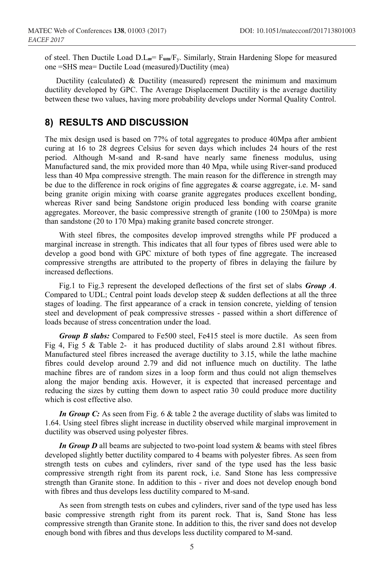of steel. Then Ductile Load D.L*m*= F**um**/Fy. Similarly, Strain Hardening Slope for measured one =SHS mea= Ductile Load (measured)/Ductility (mea)

Ductility (calculated) & Ductility (measured) represent the minimum and maximum ductility developed by GPC. The Average Displacement Ductility is the average ductility between these two values, having more probability develops under Normal Quality Control.

#### **8) RESULTS AND DISCUSSION**

The mix design used is based on 77% of total aggregates to produce 40Mpa after ambient curing at 16 to 28 degrees Celsius for seven days which includes 24 hours of the rest period. Although M-sand and R-sand have nearly same fineness modulus, using Manufactured sand, the mix provided more than 40 Mpa, while using River-sand produced less than 40 Mpa compressive strength. The main reason for the difference in strength may be due to the difference in rock origins of fine aggregates & coarse aggregate, i.e. M- sand being granite origin mixing with coarse granite aggregates produces excellent bonding, whereas River sand being Sandstone origin produced less bonding with coarse granite aggregates. Moreover, the basic compressive strength of granite (100 to 250Mpa) is more than sandstone (20 to 170 Mpa) making granite based concrete stronger.

With steel fibres, the composites develop improved strengths while PF produced a marginal increase in strength. This indicates that all four types of fibres used were able to develop a good bond with GPC mixture of both types of fine aggregate. The increased compressive strengths are attributed to the property of fibres in delaying the failure by increased deflections.

Fig.1 to Fig.3 represent the developed deflections of the first set of slabs *Group A*. Compared to UDL; Central point loads develop steep  $\&$  sudden deflections at all the three stages of loading. The first appearance of a crack in tension concrete, yielding of tension steel and development of peak compressive stresses - passed within a short difference of loads because of stress concentration under the load.

*Group B slabs:* Compared to Fe500 steel, Fe415 steel is more ductile. As seen from Fig 4, Fig 5 & Table 2- it has produced ductility of slabs around 2.81 without fibres. Manufactured steel fibres increased the average ductility to 3.15, while the lathe machine fibres could develop around 2.79 and did not influence much on ductility. The lathe machine fibres are of random sizes in a loop form and thus could not align themselves along the major bending axis. However, it is expected that increased percentage and reducing the sizes by cutting them down to aspect ratio 30 could produce more ductility which is cost effective also.

*In Group C*: As seen from Fig. 6 & table 2 the average ductility of slabs was limited to 1.64. Using steel fibres slight increase in ductility observed while marginal improvement in ductility was observed using polyester fibres.

*In Group D* all beams are subjected to two-point load system & beams with steel fibres developed slightly better ductility compared to 4 beams with polyester fibres. As seen from strength tests on cubes and cylinders, river sand of the type used has the less basic compressive strength right from its parent rock, i.e. Sand Stone has less compressive strength than Granite stone. In addition to this - river and does not develop enough bond with fibres and thus develops less ductility compared to M-sand.

As seen from strength tests on cubes and cylinders, river sand of the type used has less basic compressive strength right from its parent rock. That is, Sand Stone has less compressive strength than Granite stone. In addition to this, the river sand does not develop enough bond with fibres and thus develops less ductility compared to M-sand.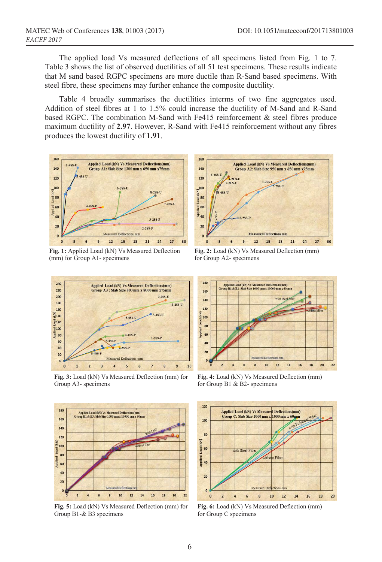The applied load Vs measured deflections of all specimens listed from Fig. 1 to 7. Table 3 shows the list of observed ductilities of all 51 test specimens. These results indicate that M sand based RGPC specimens are more ductile than R-Sand based specimens. With steel fibre, these specimens may further enhance the composite ductility.

Table 4 broadly summarises the ductilities interms of two fine aggregates used. Addition of steel fibres at 1 to 1.5% could increase the ductility of M-Sand and R-Sand based RGPC. The combination M-Sand with Fe415 reinforcement & steel fibres produce maximum ductility of **2.97**. However, R-Sand with Fe415 reinforcement without any fibres produces the lowest ductility of **1.91**.



**Fig. 1:** Applied Load (kN) Vs Measured Deflection (mm) for Group A1- specimens



**Fig. 3:** Load (kN) Vs Measured Deflection (mm) for Group A3- specimens



**Fig. 2:** Load (kN) Vs Measured Deflection (mm) for Group A2- specimens



**Fig. 4:** Load (kN) Vs Measured Deflection (mm) for Group B1 & B2- specimens



**Fig. 5:** Load (kN) Vs Measured Deflection (mm) for Group B1-& B3 specimens



**Fig. 6:** Load (kN) Vs Measured Deflection (mm) for Group C specimens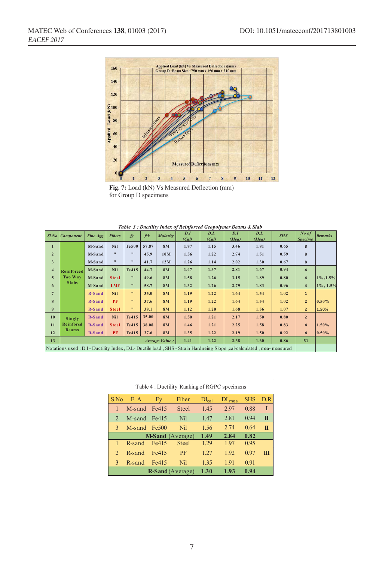

**Fig. 7:** Load (kN) Vs Measured Deflection (mm) for Group D specimens

| Table 3: Ductility Index of Reinforced Geopolymer Beams & Slab                                                         |                  |                 |                   |                           |       |                 |              |              |              |              |            |                           |          |
|------------------------------------------------------------------------------------------------------------------------|------------------|-----------------|-------------------|---------------------------|-------|-----------------|--------------|--------------|--------------|--------------|------------|---------------------------|----------|
| $Sl$ .No                                                                                                               | <b>Component</b> | <b>Fine Agg</b> | <b>Fibers</b>     | $\mathbf{f}$              | fck   | <b>Molarity</b> | D.I<br>(Cal) | D.L<br>(CaI) | D.I<br>(Mea) | D.L<br>(Mea) | <b>SHS</b> | $No$ of<br><b>Specime</b> | Remarks  |
| $\mathbf{1}$                                                                                                           |                  | M-Sand          | <b>Nil</b>        | Fe 500                    | 57.87 | <b>8M</b>       | 1.87         | 1.15         | 3.46         | 1.81         | 0.65       | 8                         |          |
| $\overline{2}$                                                                                                         |                  | M-Sand          | $^{\prime\prime}$ | $\pmb{\ast}$              | 45.9  | 10M             | 1.56         | 1.22         | 2.74         | 1.51         | 0.59       | 8                         |          |
| 3                                                                                                                      |                  | M-Sand          | $^{\bullet}$      | $\pmb{\ast}$              | 41.7  | 12M             | 1.26         | 1.14         | 2.02         | 1.30         | 0.67       | 8                         |          |
| $\overline{4}$                                                                                                         | Reinforced       | M-Sand          | <b>Nil</b>        | Fe415                     | 44.7  | <b>8M</b>       | 1.47         | 1.37         | 2.81         | 1.67         | 0.94       | $\overline{4}$            |          |
| 5                                                                                                                      | Two Way          | M-Sand          | <b>Steel</b>      | $\pmb{\ast}$              | 49.6  | <b>8M</b>       | 1.58         | 1.26         | 3.15         | 1.89         | 0.80       | $\overline{4}$            | 1%, 1.5% |
| 6                                                                                                                      | <b>Slabs</b>     | M-Sand          | <b>LMF</b>        | $\pmb{\mathfrak{m}}$      | 58.7  | 8M              | 1.32         | 1.26         | 2.79         | 1.83         | 0.96       | $\overline{4}$            | 1%, 1.5% |
| $\overline{7}$                                                                                                         |                  | R-Sand          | <b>Nil</b>        | $\mathbf{H}$              | 35.0  | <b>8M</b>       | 1.19         | 1.22         | 1.64         | 1.54         | 1.02       | $\mathbf{1}$              |          |
| 8                                                                                                                      |                  | R-Sand          | PF                | $\pmb{\mathsf{H}}$        | 37.6  | <b>8M</b>       | 1.19         | 1.22         | 1.64         | 1.54         | 1.02       | $\overline{2}$            | 0.50%    |
| 9                                                                                                                      |                  | R-Sand          | <b>Steel</b>      | $\boldsymbol{\mathsf{H}}$ | 38.1  | <b>8M</b>       | 1.12         | 1.20         | 1.68         | 1.56         | 1.07       | $\overline{2}$            | 1.50%    |
| 10                                                                                                                     | Singly           | <b>R-Sand</b>   | <b>Nil</b>        | Fe415                     | 35.00 | <b>8M</b>       | 1.50         | 1.21         | 2.17         | 1.50         | 0.80       | $\overline{2}$            |          |
| 11                                                                                                                     | <b>Reinforcd</b> | R-Sand          | <b>Steel</b>      | Fe415                     | 38.08 | 8M              | 1.46         | 1.21         | 2.25         | 1.58         | 0.83       | $\overline{a}$            | 1.50%    |
| 12                                                                                                                     | <b>Beams</b>     | R-Sand          | <b>PF</b>         | Fe415                     | 37.6  | <b>8M</b>       | 1.35         | 1.22         | 2.19         | 1.50         | 0.92       | 4                         | 0.50%    |
| 13                                                                                                                     | Average Value:   |                 |                   |                           |       |                 | 1.41         | 1.22         | 2.38         | 1.60         | 0.86       | 51                        |          |
| Notations used : D.I - Ductility Index, D.L - Ductile load, SHS - Strain Hardneing Slope, cal-calculated, mea-measured |                  |                 |                   |                           |       |                 |              |              |              |              |            |                           |          |

Table 4 : Ductility Ranking of RGPC specimens

| S.No           | F.A          | Fy                      | Fiber        | $DI_{cal}$ | DI <sub>mea</sub> | <b>SHS</b> | D.R |
|----------------|--------------|-------------------------|--------------|------------|-------------------|------------|-----|
| 1              | M-sand Fe415 |                         | <b>Steel</b> | 1.45       | 2.97              | 0.88       | Т   |
| $\mathfrak{D}$ | M-sand Fe415 |                         | Nil          | 1.47       | 2.81              | 0.94       | π   |
| 3              | M-sand Fe500 |                         | Nil          | 1.56       | 2.74              | 0.64       | π   |
|                |              | <b>M-Sand</b> (Average) | 1.49         | 2.84       | 0.82              |            |     |
| 1              | R-sand       | Fe415                   | <b>Steel</b> | 1.29       | 1.97              | 0.95       |     |
| $\mathcal{D}$  | R-sand       | Fe415                   | PF           | 1.27       | 1.92              | 0.97       | Ш   |
| 3              | R-sand       | Fe415                   | Nil          | 1.35       | 1.91              | 0.91       |     |
|                |              | <b>R-Sand</b> (Average) | 1.30         | 1.93       | 0.94              |            |     |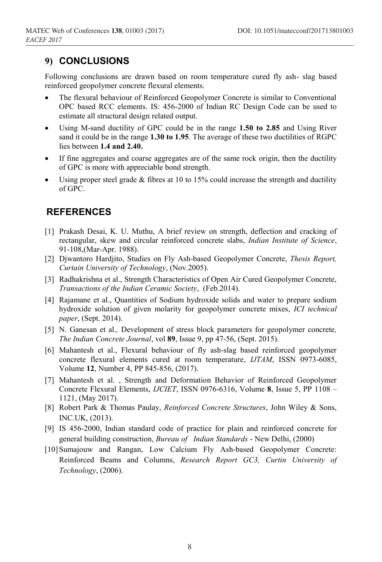#### **9) CONCLUSIONS**

Following conclusions are drawn based on room temperature cured fly ash- slag based reinforced geopolymer concrete flexural elements.

- The flexural behaviour of Reinforced Geopolymer Concrete is similar to Conventional OPC based RCC elements. IS: 456-2000 of Indian RC Design Code can be used to estimate all structural design related output.
- Using M-sand ductility of GPC could be in the range **1.50 to 2.85** and Using River sand it could be in the range **1.30 to 1.95**. The average of these two ductilities of RGPC lies between **1.4 and 2.40.**
- If fine aggregates and coarse aggregates are of the same rock origin, then the ductility of GPC is more with appreciable bond strength.
- Using proper steel grade  $&$  fibres at 10 to 15% could increase the strength and ductility of GPC.

#### **REFERENCES**

- [1] Prakash Desai, K. U. Muthu, A brief review on strength, deflection and cracking of rectangular, skew and circular reinforced concrete slabs, *Indian Institute of Science*, 91-108,(Mar-Apr. 1988).
- [2] Djwantoro Hardjito, Studies on Fly Ash-based Geopolymer Concrete, *Thesis Report, Curtain University of Technology*, (Nov.2005).
- [3] Radhakrishna et al., Strength Characteristics of Open Air Cured Geopolymer Concrete, *Transactions of the Indian Ceramic Society*, (Feb.2014).
- [4] Rajamane et al., Quantities of Sodium hydroxide solids and water to prepare sodium hydroxide solution of given molarity for geopolymer concrete mixes, *ICI technical paper*, (Sept. 2014).
- [5] N. Ganesan et al.*,* Development of stress block parameters for geopolymer concrete*, The Indian Concrete Journal*, vol **89**, Issue 9, pp 47-56, (Sept. 2015).
- [6] Mahantesh et al., Flexural behaviour of fly ash-slag based reinforced geopolymer concrete flexural elements cured at room temperature, *IJTAM*, ISSN 0973-6085, Volume **12**, Number 4, PP 845-856, (2017).
- [7] Mahantesh et al. , Strength and Deformation Behavior of Reinforced Geopolymer Concrete Flexural Elements, *IJCIET*, ISSN 0976-6316, Volume **8**, Issue 5, PP 1108 – 1121, (May 2017).
- [8] Robert Park & Thomas Paulay, *Reinforced Concrete Structures*, John Wiley & Sons, INC.UK, (2013).
- [9] IS 456-2000, Indian standard code of practice for plain and reinforced concrete for general building construction, *Bureau of Indian Standards* - New Delhi, (2000)
- [10] Sumajouw and Rangan, Low Calcium Fly Ash-based Geopolymer Concrete: Reinforced Beams and Columns, *Research Report GC3, Curtin University of Technology*, (2006).